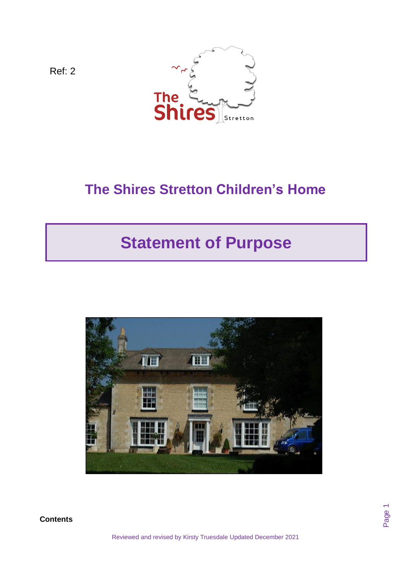

Ref: 2

**Contents**

# **The Shires Stretton Children's Home**

# **Statement of Purpose**



Page 1

Reviewed and revised by Kirsty Truesdale Updated December 2021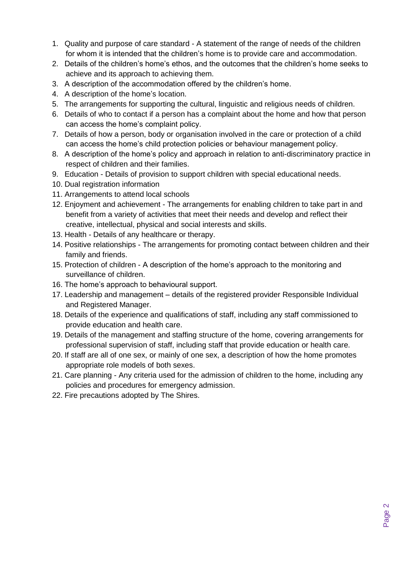- 1. Quality and purpose of care standard A statement of the range of needs of the children for whom it is intended that the children's home is to provide care and accommodation.
- 2. Details of the children's home's ethos, and the outcomes that the children's home seeks to achieve and its approach to achieving them.
- 3. A description of the accommodation offered by the children's home.
- 4. A description of the home's location.
- 5. The arrangements for supporting the cultural, linguistic and religious needs of children.
- 6. Details of who to contact if a person has a complaint about the home and how that person can access the home's complaint policy.
- 7. Details of how a person, body or organisation involved in the care or protection of a child can access the home's child protection policies or behaviour management policy.
- 8. A description of the home's policy and approach in relation to anti-discriminatory practice in respect of children and their families.
- 9. Education Details of provision to support children with special educational needs.
- 10. Dual registration information
- 11. Arrangements to attend local schools
- 12. Enjoyment and achievement The arrangements for enabling children to take part in and benefit from a variety of activities that meet their needs and develop and reflect their creative, intellectual, physical and social interests and skills.
- 13. Health Details of any healthcare or therapy.
- 14. Positive relationships The arrangements for promoting contact between children and their family and friends.
- 15. Protection of children A description of the home's approach to the monitoring and surveillance of children.
- 16. The home's approach to behavioural support.
- 17. Leadership and management details of the registered provider Responsible Individual and Registered Manager.
- 18. Details of the experience and qualifications of staff, including any staff commissioned to provide education and health care.
- 19. Details of the management and staffing structure of the home, covering arrangements for professional supervision of staff, including staff that provide education or health care.
- 20. If staff are all of one sex, or mainly of one sex, a description of how the home promotes appropriate role models of both sexes.
- 21. Care planning Any criteria used for the admission of children to the home, including any policies and procedures for emergency admission.
- 22. Fire precautions adopted by The Shires.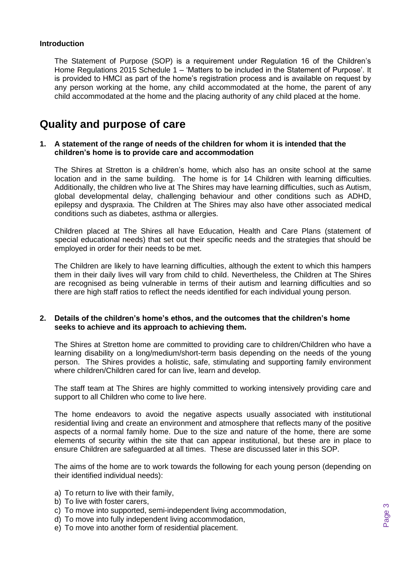### **Introduction**

The Statement of Purpose (SOP) is a requirement under Regulation 16 of the Children's Home Regulations 2015 Schedule 1 – 'Matters to be included in the Statement of Purpose'. It is provided to HMCI as part of the home's registration process and is available on request by any person working at the home, any child accommodated at the home, the parent of any child accommodated at the home and the placing authority of any child placed at the home.

# **Quality and purpose of care**

### **1. A statement of the range of needs of the children for whom it is intended that the children's home is to provide care and accommodation**

The Shires at Stretton is a children's home, which also has an onsite school at the same location and in the same building. The home is for 14 Children with learning difficulties. Additionally, the children who live at The Shires may have learning difficulties, such as Autism, global developmental delay, challenging behaviour and other conditions such as ADHD, epilepsy and dyspraxia. The Children at The Shires may also have other associated medical conditions such as diabetes, asthma or allergies.

Children placed at The Shires all have Education, Health and Care Plans (statement of special educational needs) that set out their specific needs and the strategies that should be employed in order for their needs to be met.

The Children are likely to have learning difficulties, although the extent to which this hampers them in their daily lives will vary from child to child. Nevertheless, the Children at The Shires are recognised as being vulnerable in terms of their autism and learning difficulties and so there are high staff ratios to reflect the needs identified for each individual young person.

### **2. Details of the children's home's ethos, and the outcomes that the children's home seeks to achieve and its approach to achieving them.**

The Shires at Stretton home are committed to providing care to children/Children who have a learning disability on a long/medium/short-term basis depending on the needs of the young person. The Shires provides a holistic, safe, stimulating and supporting family environment where children/Children cared for can live, learn and develop.

The staff team at The Shires are highly committed to working intensively providing care and support to all Children who come to live here.

The home endeavors to avoid the negative aspects usually associated with institutional residential living and create an environment and atmosphere that reflects many of the positive aspects of a normal family home. Due to the size and nature of the home, there are some elements of security within the site that can appear institutional, but these are in place to ensure Children are safeguarded at all times. These are discussed later in this SOP.

The aims of the home are to work towards the following for each young person (depending on their identified individual needs):

- a) To return to live with their family,
- b) To live with foster carers,
- c) To move into supported, semi-independent living accommodation,
- d) To move into fully independent living accommodation,
- e) To move into another form of residential placement.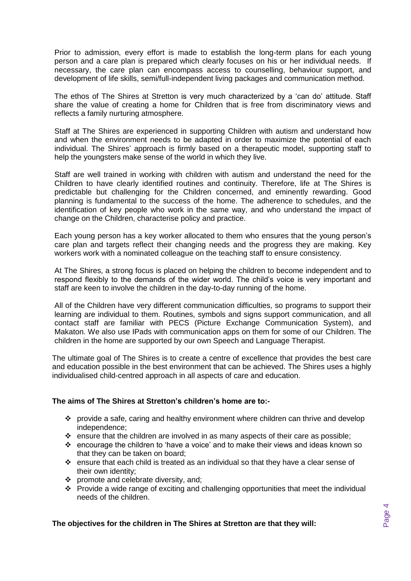Prior to admission, every effort is made to establish the long-term plans for each young person and a care plan is prepared which clearly focuses on his or her individual needs. If necessary, the care plan can encompass access to counselling, behaviour support, and development of life skills, semi/full-independent living packages and communication method.

The ethos of The Shires at Stretton is very much characterized by a 'can do' attitude. Staff share the value of creating a home for Children that is free from discriminatory views and reflects a family nurturing atmosphere.

Staff at The Shires are experienced in supporting Children with autism and understand how and when the environment needs to be adapted in order to maximize the potential of each individual. The Shires' approach is firmly based on a therapeutic model, supporting staff to help the youngsters make sense of the world in which they live.

Staff are well trained in working with children with autism and understand the need for the Children to have clearly identified routines and continuity. Therefore, life at The Shires is predictable but challenging for the Children concerned, and eminently rewarding. Good planning is fundamental to the success of the home. The adherence to schedules, and the identification of key people who work in the same way, and who understand the impact of change on the Children, characterise policy and practice.

Each young person has a key worker allocated to them who ensures that the young person's care plan and targets reflect their changing needs and the progress they are making. Key workers work with a nominated colleague on the teaching staff to ensure consistency.

At The Shires, a strong focus is placed on helping the children to become independent and to respond flexibly to the demands of the wider world. The child's voice is very important and staff are keen to involve the children in the day-to-day running of the home.

All of the Children have very different communication difficulties, so programs to support their learning are individual to them. Routines, symbols and signs support communication, and all contact staff are familiar with PECS (Picture Exchange Communication System), and Makaton. We also use IPads with communication apps on them for some of our Children. The children in the home are supported by our own Speech and Language Therapist.

The ultimate goal of The Shires is to create a centre of excellence that provides the best care and education possible in the best environment that can be achieved. The Shires uses a highly individualised child-centred approach in all aspects of care and education.

### **The aims of The Shires at Stretton's children's home are to:-**

- ❖ provide a safe, caring and healthy environment where children can thrive and develop independence;
- $\div$  ensure that the children are involved in as many aspects of their care as possible;
- ❖ encourage the children to 'have a voice' and to make their views and ideas known so that they can be taken on board;
- ❖ ensure that each child is treated as an individual so that they have a clear sense of their own identity;
- ❖ promote and celebrate diversity, and;
- ❖ Provide a wide range of exciting and challenging opportunities that meet the individual needs of the children.

**The objectives for the children in The Shires at Stretton are that they will:**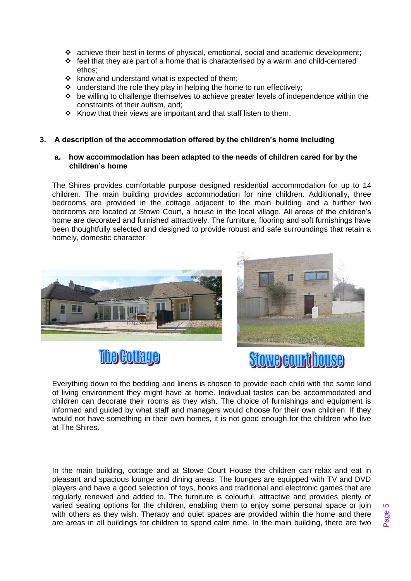- ❖ achieve their best in terms of physical, emotional, social and academic development;
- ❖ feel that they are part of a home that is characterised by a warm and child-centered ethos;
- ❖ know and understand what is expected of them;
- ❖ understand the role they play in helping the home to run effectively;
- ❖ be willing to challenge themselves to achieve greater levels of independence within the constraints of their autism, and;
- ❖ Know that their views are important and that staff listen to them.

### **3. A description of the accommodation offered by the children's home including**

#### **a. how accommodation has been adapted to the needs of children cared for by the children's home**

The Shires provides comfortable purpose designed residential accommodation for up to 14 children. The main building provides accommodation for nine children. Additionally, three bedrooms are provided in the cottage adjacent to the main building and a further two bedrooms are located at Stowe Court, a house in the local village. All areas of the children's home are decorated and furnished attractively. The furniture, flooring and soft furnishings have been thoughtfully selected and designed to provide robust and safe surroundings that retain a homely, domestic character.









Everything down to the bedding and linens is chosen to provide each child with the same kind of living environment they might have at home. Individual tastes can be accommodated and children can decorate their rooms as they wish. The choice of furnishings and equipment is informed and guided by what staff and managers would choose for their own children. If they would not have something in their own homes, it is not good enough for the children who live at The Shires.

In the main building, cottage and at Stowe Court House the children can relax and eat in pleasant and spacious lounge and dining areas. The lounges are equipped with TV and DVD players and have a good selection of toys, books and traditional and electronic games that are regularly renewed and added to. The furniture is colourful, attractive and provides plenty of varied seating options for the children, enabling them to enjoy some personal space or join with others as they wish. Therapy and quiet spaces are provided within the home and there are areas in all buildings for children to spend calm time. In the main building, there are two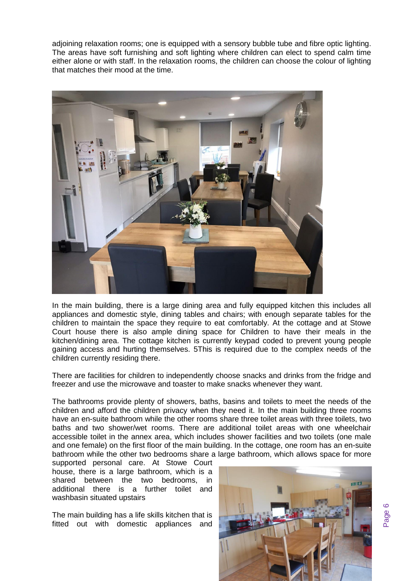adjoining relaxation rooms; one is equipped with a sensory bubble tube and fibre optic lighting. The areas have soft furnishing and soft lighting where children can elect to spend calm time either alone or with staff. In the relaxation rooms, the children can choose the colour of lighting that matches their mood at the time.



In the main building, there is a large dining area and fully equipped kitchen this includes all appliances and domestic style, dining tables and chairs; with enough separate tables for the children to maintain the space they require to eat comfortably. At the cottage and at Stowe Court house there is also ample dining space for Children to have their meals in the kitchen/dining area. The cottage kitchen is currently keypad coded to prevent young people gaining access and hurting themselves. 5This is required due to the complex needs of the children currently residing there.

There are facilities for children to independently choose snacks and drinks from the fridge and freezer and use the microwave and toaster to make snacks whenever they want.

The bathrooms provide plenty of showers, baths, basins and toilets to meet the needs of the children and afford the children privacy when they need it. In the main building three rooms have an en-suite bathroom while the other rooms share three toilet areas with three toilets, two baths and two shower/wet rooms. There are additional toilet areas with one wheelchair accessible toilet in the annex area, which includes shower facilities and two toilets (one male and one female) on the first floor of the main building. In the cottage, one room has an en-suite bathroom while the other two bedrooms share a large bathroom, which allows space for more

supported personal care. At Stowe Court house, there is a large bathroom, which is a shared between the two bedrooms, in additional there is a further toilet and washbasin situated upstairs

The main building has a life skills kitchen that is fitted out with domestic appliances and

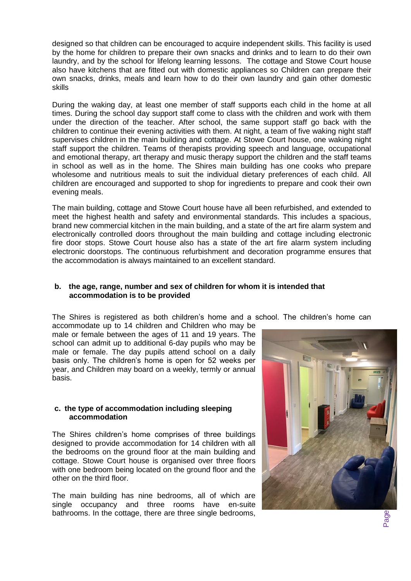designed so that children can be encouraged to acquire independent skills. This facility is used by the home for children to prepare their own snacks and drinks and to learn to do their own laundry, and by the school for lifelong learning lessons. The cottage and Stowe Court house also have kitchens that are fitted out with domestic appliances so Children can prepare their own snacks, drinks, meals and learn how to do their own laundry and gain other domestic skills

During the waking day, at least one member of staff supports each child in the home at all times. During the school day support staff come to class with the children and work with them under the direction of the teacher. After school, the same support staff go back with the children to continue their evening activities with them. At night, a team of five waking night staff supervises children in the main building and cottage. At Stowe Court house, one waking night staff support the children. Teams of therapists providing speech and language, occupational and emotional therapy, art therapy and music therapy support the children and the staff teams in school as well as in the home. The Shires main building has one cooks who prepare wholesome and nutritious meals to suit the individual dietary preferences of each child. All children are encouraged and supported to shop for ingredients to prepare and cook their own evening meals.

The main building, cottage and Stowe Court house have all been refurbished, and extended to meet the highest health and safety and environmental standards. This includes a spacious, brand new commercial kitchen in the main building, and a state of the art fire alarm system and electronically controlled doors throughout the main building and cottage including electronic fire door stops. Stowe Court house also has a state of the art fire alarm system including electronic doorstops. The continuous refurbishment and decoration programme ensures that the accommodation is always maintained to an excellent standard.

### **b. the age, range, number and sex of children for whom it is intended that accommodation is to be provided**

The Shires is registered as both children's home and a school. The children's home can

accommodate up to 14 children and Children who may be male or female between the ages of 11 and 19 years. The school can admit up to additional 6-day pupils who may be male or female. The day pupils attend school on a daily basis only. The children's home is open for 52 weeks per year, and Children may board on a weekly, termly or annual basis.

### **c. the type of accommodation including sleeping accommodation**

The Shires children's home comprises of three buildings designed to provide accommodation for 14 children with all the bedrooms on the ground floor at the main building and cottage. Stowe Court house is organised over three floors with one bedroom being located on the ground floor and the other on the third floor.

The main building has nine bedrooms, all of which are single occupancy and three rooms have en-suite bathrooms. In the cottage, there are three single bedrooms,

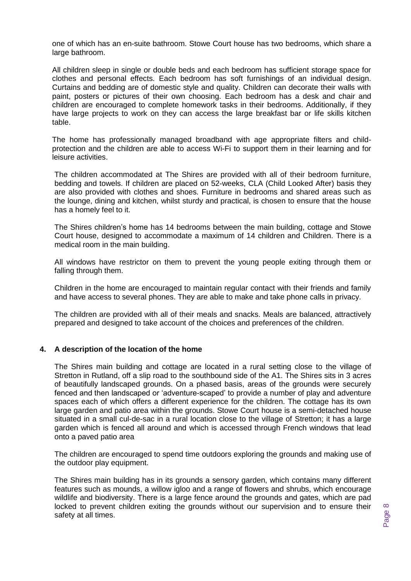one of which has an en-suite bathroom. Stowe Court house has two bedrooms, which share a large bathroom.

All children sleep in single or double beds and each bedroom has sufficient storage space for clothes and personal effects. Each bedroom has soft furnishings of an individual design. Curtains and bedding are of domestic style and quality. Children can decorate their walls with paint, posters or pictures of their own choosing. Each bedroom has a desk and chair and children are encouraged to complete homework tasks in their bedrooms. Additionally, if they have large projects to work on they can access the large breakfast bar or life skills kitchen table.

The home has professionally managed broadband with age appropriate filters and childprotection and the children are able to access Wi-Fi to support them in their learning and for leisure activities.

The children accommodated at The Shires are provided with all of their bedroom furniture, bedding and towels. If children are placed on 52-weeks, CLA (Child Looked After) basis they are also provided with clothes and shoes. Furniture in bedrooms and shared areas such as the lounge, dining and kitchen, whilst sturdy and practical, is chosen to ensure that the house has a homely feel to it.

The Shires children's home has 14 bedrooms between the main building, cottage and Stowe Court house, designed to accommodate a maximum of 14 children and Children. There is a medical room in the main building.

All windows have restrictor on them to prevent the young people exiting through them or falling through them.

Children in the home are encouraged to maintain regular contact with their friends and family and have access to several phones. They are able to make and take phone calls in privacy.

The children are provided with all of their meals and snacks. Meals are balanced, attractively prepared and designed to take account of the choices and preferences of the children.

#### **4. A description of the location of the home**

The Shires main building and cottage are located in a rural setting close to the village of Stretton in Rutland, off a slip road to the southbound side of the A1. The Shires sits in 3 acres of beautifully landscaped grounds. On a phased basis, areas of the grounds were securely fenced and then landscaped or 'adventure-scaped' to provide a number of play and adventure spaces each of which offers a different experience for the children. The cottage has its own large garden and patio area within the grounds. Stowe Court house is a semi-detached house situated in a small cul-de-sac in a rural location close to the village of Stretton; it has a large garden which is fenced all around and which is accessed through French windows that lead onto a paved patio area

The children are encouraged to spend time outdoors exploring the grounds and making use of the outdoor play equipment.

The Shires main building has in its grounds a sensory garden, which contains many different features such as mounds, a willow igloo and a range of flowers and shrubs, which encourage wildlife and biodiversity. There is a large fence around the grounds and gates, which are pad locked to prevent children exiting the grounds without our supervision and to ensure their safety at all times.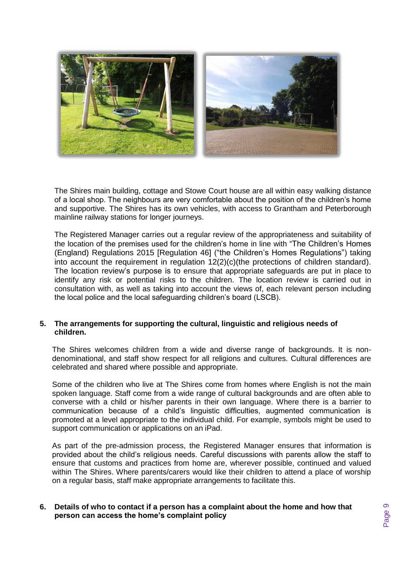

The Shires main building, cottage and Stowe Court house are all within easy walking distance of a local shop. The neighbours are very comfortable about the position of the children's home and supportive. The Shires has its own vehicles, with access to Grantham and Peterborough mainline railway stations for longer journeys.

The Registered Manager carries out a regular review of the appropriateness and suitability of the location of the premises used for the children's home in line with "The Children's Homes (England) Regulations 2015 [Regulation 46] ("the Children's Homes Regulations") taking into account the requirement in regulation 12(2)(c)(the protections of children standard). The location review's purpose is to ensure that appropriate safeguards are put in place to identify any risk or potential risks to the children. The location review is carried out in consultation with, as well as taking into account the views of, each relevant person including the local police and the local safeguarding children's board (LSCB).

### **5. The arrangements for supporting the cultural, linguistic and religious needs of children.**

The Shires welcomes children from a wide and diverse range of backgrounds. It is nondenominational, and staff show respect for all religions and cultures. Cultural differences are celebrated and shared where possible and appropriate.

Some of the children who live at The Shires come from homes where English is not the main spoken language. Staff come from a wide range of cultural backgrounds and are often able to converse with a child or his/her parents in their own language. Where there is a barrier to communication because of a child's linguistic difficulties, augmented communication is promoted at a level appropriate to the individual child. For example, symbols might be used to support communication or applications on an iPad.

As part of the pre-admission process, the Registered Manager ensures that information is provided about the child's religious needs. Careful discussions with parents allow the staff to ensure that customs and practices from home are, wherever possible, continued and valued within The Shires. Where parents/carers would like their children to attend a place of worship on a regular basis, staff make appropriate arrangements to facilitate this.

### **6. Details of who to contact if a person has a complaint about the home and how that person can access the home's complaint policy**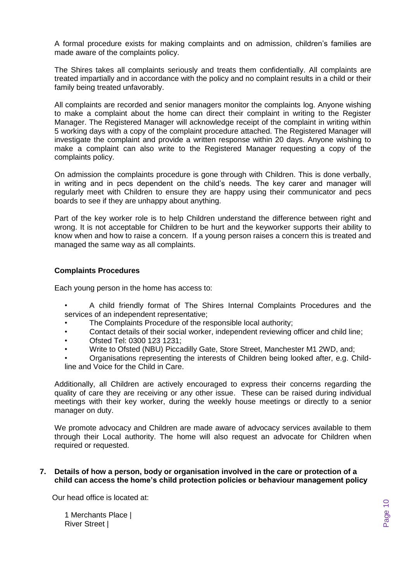A formal procedure exists for making complaints and on admission, children's families are made aware of the complaints policy.

The Shires takes all complaints seriously and treats them confidentially. All complaints are treated impartially and in accordance with the policy and no complaint results in a child or their family being treated unfavorably.

All complaints are recorded and senior managers monitor the complaints log. Anyone wishing to make a complaint about the home can direct their complaint in writing to the Register Manager. The Registered Manager will acknowledge receipt of the complaint in writing within 5 working days with a copy of the complaint procedure attached. The Registered Manager will investigate the complaint and provide a written response within 20 days. Anyone wishing to make a complaint can also write to the Registered Manager requesting a copy of the complaints policy.

On admission the complaints procedure is gone through with Children. This is done verbally, in writing and in pecs dependent on the child's needs. The key carer and manager will regularly meet with Children to ensure they are happy using their communicator and pecs boards to see if they are unhappy about anything.

Part of the key worker role is to help Children understand the difference between right and wrong. It is not acceptable for Children to be hurt and the keyworker supports their ability to know when and how to raise a concern. If a young person raises a concern this is treated and managed the same way as all complaints.

### **Complaints Procedures**

Each young person in the home has access to:

- A child friendly format of The Shires Internal Complaints Procedures and the services of an independent representative;
- The Complaints Procedure of the responsible local authority:
- Contact details of their social worker, independent reviewing officer and child line;
- Ofsted Tel: 0300 123 1231;
- Write to Ofsted (NBU) Piccadilly Gate, Store Street, Manchester M1 2WD, and;
- Organisations representing the interests of Children being looked after, e.g. Childline and Voice for the Child in Care.

Additionally, all Children are actively encouraged to express their concerns regarding the quality of care they are receiving or any other issue. These can be raised during individual meetings with their key worker, during the weekly house meetings or directly to a senior manager on duty.

We promote advocacy and Children are made aware of advocacy services available to them through their Local authority. The home will also request an advocate for Children when required or requested.

#### **7. Details of how a person, body or organisation involved in the care or protection of a child can access the home's child protection policies or behaviour management policy**

Our head office is located at:

1 Merchants Place | River Street |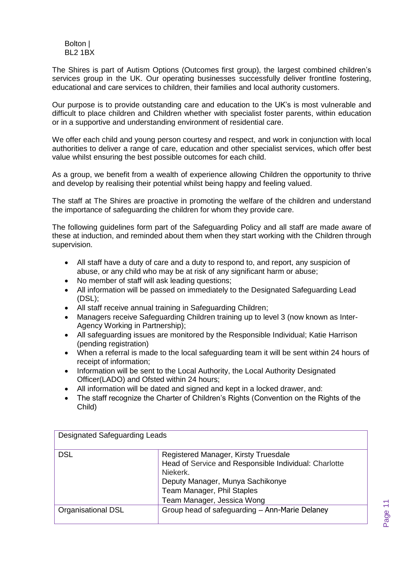Bolton | BL2 1BX

The Shires is part of Autism Options (Outcomes first group), the largest combined children's services group in the UK. Our operating businesses successfully deliver frontline fostering, educational and care services to children, their families and local authority customers.

Our purpose is to provide outstanding care and education to the UK's is most vulnerable and difficult to place children and Children whether with specialist foster parents, within education or in a supportive and understanding environment of residential care.

We offer each child and young person courtesy and respect, and work in conjunction with local authorities to deliver a range of care, education and other specialist services, which offer best value whilst ensuring the best possible outcomes for each child.

As a group, we benefit from a wealth of experience allowing Children the opportunity to thrive and develop by realising their potential whilst being happy and feeling valued.

The staff at The Shires are proactive in promoting the welfare of the children and understand the importance of safeguarding the children for whom they provide care.

The following guidelines form part of the Safeguarding Policy and all staff are made aware of these at induction, and reminded about them when they start working with the Children through supervision.

- All staff have a duty of care and a duty to respond to, and report, any suspicion of abuse, or any child who may be at risk of any significant harm or abuse;
- No member of staff will ask leading questions;
- All information will be passed on immediately to the Designated Safeguarding Lead (DSL);
- All staff receive annual training in Safeguarding Children;
- Managers receive Safeguarding Children training up to level 3 (now known as Inter-Agency Working in Partnership);
- All safeguarding issues are monitored by the Responsible Individual; Katie Harrison (pending registration)
- When a referral is made to the local safeguarding team it will be sent within 24 hours of receipt of information;
- Information will be sent to the Local Authority, the Local Authority Designated Officer(LADO) and Ofsted within 24 hours;
- All information will be dated and signed and kept in a locked drawer, and:
- The staff recognize the Charter of Children's Rights (Convention on the Rights of the Child)

| <b>Designated Safeguarding Leads</b> |                                                       |
|--------------------------------------|-------------------------------------------------------|
| DSL                                  | Registered Manager, Kirsty Truesdale                  |
|                                      | Head of Service and Responsible Individual: Charlotte |
|                                      | Niekerk.                                              |
|                                      | Deputy Manager, Munya Sachikonye                      |
|                                      | Team Manager, Phil Staples                            |
|                                      | Team Manager, Jessica Wong                            |
| Organisational DSL                   | Group head of safeguarding - Ann-Marie Delaney        |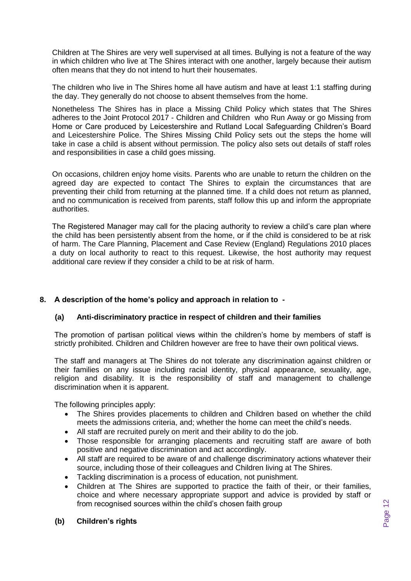Children at The Shires are very well supervised at all times. Bullying is not a feature of the way in which children who live at The Shires interact with one another, largely because their autism often means that they do not intend to hurt their housemates.

The children who live in The Shires home all have autism and have at least 1:1 staffing during the day. They generally do not choose to absent themselves from the home.

Nonetheless The Shires has in place a Missing Child Policy which states that The Shires adheres to the Joint Protocol 2017 - Children and Children who Run Away or go Missing from Home or Care produced by Leicestershire and Rutland Local Safeguarding Children's Board and Leicestershire Police. The Shires Missing Child Policy sets out the steps the home will take in case a child is absent without permission. The policy also sets out details of staff roles and responsibilities in case a child goes missing.

On occasions, children enjoy home visits. Parents who are unable to return the children on the agreed day are expected to contact The Shires to explain the circumstances that are preventing their child from returning at the planned time. If a child does not return as planned, and no communication is received from parents, staff follow this up and inform the appropriate authorities.

The Registered Manager may call for the placing authority to review a child's care plan where the child has been persistently absent from the home, or if the child is considered to be at risk of harm. The Care Planning, Placement and Case Review (England) Regulations 2010 places a duty on local authority to react to this request. Likewise, the host authority may request additional care review if they consider a child to be at risk of harm.

### **8. A description of the home's policy and approach in relation to -**

### **(a) Anti-discriminatory practice in respect of children and their families**

The promotion of partisan political views within the children's home by members of staff is strictly prohibited. Children and Children however are free to have their own political views.

The staff and managers at The Shires do not tolerate any discrimination against children or their families on any issue including racial identity, physical appearance, sexuality, age, religion and disability. It is the responsibility of staff and management to challenge discrimination when it is apparent.

The following principles apply:

- The Shires provides placements to children and Children based on whether the child meets the admissions criteria, and; whether the home can meet the child's needs.
- All staff are recruited purely on merit and their ability to do the job.
- Those responsible for arranging placements and recruiting staff are aware of both positive and negative discrimination and act accordingly.
- All staff are required to be aware of and challenge discriminatory actions whatever their source, including those of their colleagues and Children living at The Shires.
- Tackling discrimination is a process of education, not punishment.
- Children at The Shires are supported to practice the faith of their, or their families, choice and where necessary appropriate support and advice is provided by staff or from recognised sources within the child's chosen faith group

### **(b) Children's rights**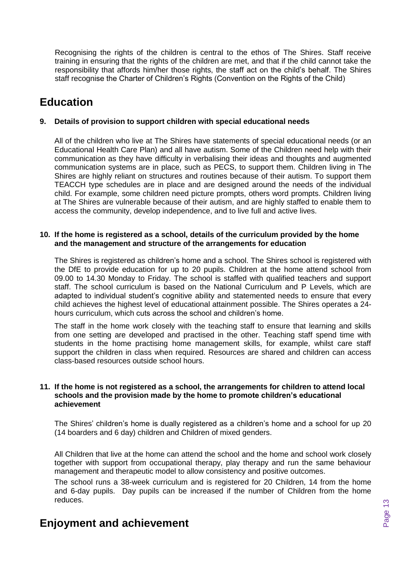Recognising the rights of the children is central to the ethos of The Shires. Staff receive training in ensuring that the rights of the children are met, and that if the child cannot take the responsibility that affords him/her those rights, the staff act on the child's behalf. The Shires staff recognise the Charter of Children's Rights (Convention on the Rights of the Child)

# **Education**

### **9. Details of provision to support children with special educational needs**

All of the children who live at The Shires have statements of special educational needs (or an Educational Health Care Plan) and all have autism. Some of the Children need help with their communication as they have difficulty in verbalising their ideas and thoughts and augmented communication systems are in place, such as PECS, to support them. Children living in The Shires are highly reliant on structures and routines because of their autism. To support them TEACCH type schedules are in place and are designed around the needs of the individual child. For example, some children need picture prompts, others word prompts. Children living at The Shires are vulnerable because of their autism, and are highly staffed to enable them to access the community, develop independence, and to live full and active lives.

### **10. If the home is registered as a school, details of the curriculum provided by the home and the management and structure of the arrangements for education**

The Shires is registered as children's home and a school. The Shires school is registered with the DfE to provide education for up to 20 pupils. Children at the home attend school from 09.00 to 14.30 Monday to Friday. The school is staffed with qualified teachers and support staff. The school curriculum is based on the National Curriculum and P Levels, which are adapted to individual student's cognitive ability and statemented needs to ensure that every child achieves the highest level of educational attainment possible. The Shires operates a 24 hours curriculum, which cuts across the school and children's home.

The staff in the home work closely with the teaching staff to ensure that learning and skills from one setting are developed and practised in the other. Teaching staff spend time with students in the home practising home management skills, for example, whilst care staff support the children in class when required. Resources are shared and children can access class-based resources outside school hours.

#### **11. If the home is not registered as a school, the arrangements for children to attend local schools and the provision made by the home to promote children's educational achievement**

The Shires' children's home is dually registered as a children's home and a school for up 20 (14 boarders and 6 day) children and Children of mixed genders.

All Children that live at the home can attend the school and the home and school work closely together with support from occupational therapy, play therapy and run the same behaviour management and therapeutic model to allow consistency and positive outcomes.

The school runs a 38-week curriculum and is registered for 20 Children, 14 from the home and 6-day pupils. Day pupils can be increased if the number of Children from the home reduces.

# **Enjoyment and achievement**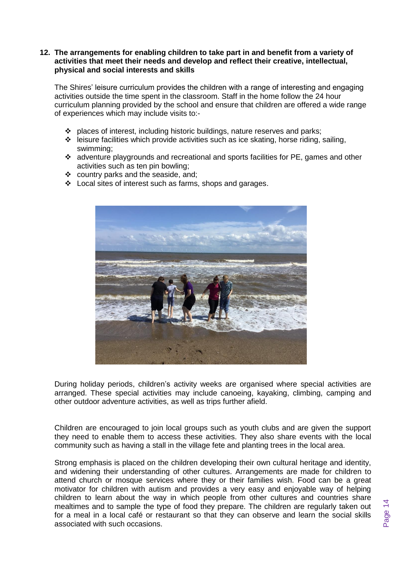### **12. The arrangements for enabling children to take part in and benefit from a variety of activities that meet their needs and develop and reflect their creative, intellectual, physical and social interests and skills**

The Shires' leisure curriculum provides the children with a range of interesting and engaging activities outside the time spent in the classroom. Staff in the home follow the 24 hour curriculum planning provided by the school and ensure that children are offered a wide range of experiences which may include visits to:-

- ❖ places of interest, including historic buildings, nature reserves and parks;
- ❖ leisure facilities which provide activities such as ice skating, horse riding, sailing, swimming;
- ❖ adventure playgrounds and recreational and sports facilities for PE, games and other activities such as ten pin bowling;
- ❖ country parks and the seaside, and;
- ❖ Local sites of interest such as farms, shops and garages.



During holiday periods, children's activity weeks are organised where special activities are arranged. These special activities may include canoeing, kayaking, climbing, camping and other outdoor adventure activities, as well as trips further afield.

Children are encouraged to join local groups such as youth clubs and are given the support they need to enable them to access these activities. They also share events with the local community such as having a stall in the village fete and planting trees in the local area.

Strong emphasis is placed on the children developing their own cultural heritage and identity, and widening their understanding of other cultures. Arrangements are made for children to attend church or mosque services where they or their families wish. Food can be a great motivator for children with autism and provides a very easy and enjoyable way of helping children to learn about the way in which people from other cultures and countries share mealtimes and to sample the type of food they prepare. The children are regularly taken out for a meal in a local café or restaurant so that they can observe and learn the social skills associated with such occasions.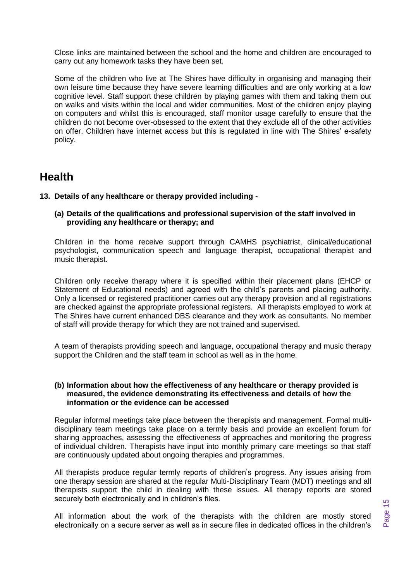Close links are maintained between the school and the home and children are encouraged to carry out any homework tasks they have been set.

Some of the children who live at The Shires have difficulty in organising and managing their own leisure time because they have severe learning difficulties and are only working at a low cognitive level. Staff support these children by playing games with them and taking them out on walks and visits within the local and wider communities. Most of the children enjoy playing on computers and whilst this is encouraged, staff monitor usage carefully to ensure that the children do not become over-obsessed to the extent that they exclude all of the other activities on offer. Children have internet access but this is regulated in line with The Shires' e-safety policy.

# **Health**

### **13. Details of any healthcare or therapy provided including -**

### **(a) Details of the qualifications and professional supervision of the staff involved in providing any healthcare or therapy; and**

Children in the home receive support through CAMHS psychiatrist, clinical/educational psychologist, communication speech and language therapist, occupational therapist and music therapist.

Children only receive therapy where it is specified within their placement plans (EHCP or Statement of Educational needs) and agreed with the child's parents and placing authority. Only a licensed or registered practitioner carries out any therapy provision and all registrations are checked against the appropriate professional registers. All therapists employed to work at The Shires have current enhanced DBS clearance and they work as consultants. No member of staff will provide therapy for which they are not trained and supervised.

A team of therapists providing speech and language, occupational therapy and music therapy support the Children and the staff team in school as well as in the home.

### **(b) Information about how the effectiveness of any healthcare or therapy provided is measured, the evidence demonstrating its effectiveness and details of how the information or the evidence can be accessed**

Regular informal meetings take place between the therapists and management. Formal multidisciplinary team meetings take place on a termly basis and provide an excellent forum for sharing approaches, assessing the effectiveness of approaches and monitoring the progress of individual children. Therapists have input into monthly primary care meetings so that staff are continuously updated about ongoing therapies and programmes.

All therapists produce regular termly reports of children's progress. Any issues arising from one therapy session are shared at the regular Multi-Disciplinary Team (MDT) meetings and all therapists support the child in dealing with these issues. All therapy reports are stored securely both electronically and in children's files.

All information about the work of the therapists with the children are mostly stored electronically on a secure server as well as in secure files in dedicated offices in the children's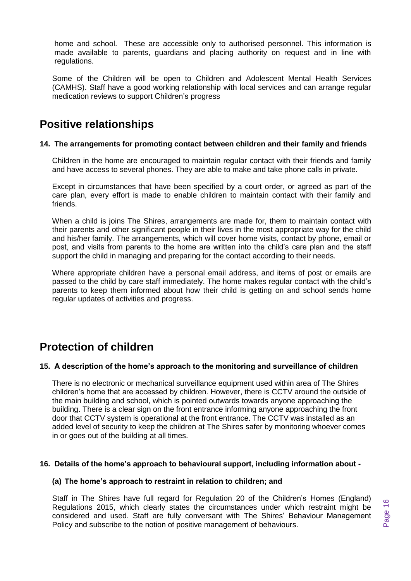home and school. These are accessible only to authorised personnel. This information is made available to parents, guardians and placing authority on request and in line with regulations.

Some of the Children will be open to Children and Adolescent Mental Health Services (CAMHS). Staff have a good working relationship with local services and can arrange regular medication reviews to support Children's progress

# **Positive relationships**

### **14. The arrangements for promoting contact between children and their family and friends**

Children in the home are encouraged to maintain regular contact with their friends and family and have access to several phones. They are able to make and take phone calls in private.

Except in circumstances that have been specified by a court order, or agreed as part of the care plan, every effort is made to enable children to maintain contact with their family and friends.

When a child is joins The Shires, arrangements are made for, them to maintain contact with their parents and other significant people in their lives in the most appropriate way for the child and his/her family. The arrangements, which will cover home visits, contact by phone, email or post, and visits from parents to the home are written into the child's care plan and the staff support the child in managing and preparing for the contact according to their needs.

Where appropriate children have a personal email address, and items of post or emails are passed to the child by care staff immediately. The home makes regular contact with the child's parents to keep them informed about how their child is getting on and school sends home regular updates of activities and progress.

# **Protection of children**

### **15. A description of the home's approach to the monitoring and surveillance of children**

There is no electronic or mechanical surveillance equipment used within area of The Shires children's home that are accessed by children. However, there is CCTV around the outside of the main building and school, which is pointed outwards towards anyone approaching the building. There is a clear sign on the front entrance informing anyone approaching the front door that CCTV system is operational at the front entrance. The CCTV was installed as an added level of security to keep the children at The Shires safer by monitoring whoever comes in or goes out of the building at all times.

#### **16. Details of the home's approach to behavioural support, including information about -**

#### **(a) The home's approach to restraint in relation to children; and**

Staff in The Shires have full regard for Regulation 20 of the Children's Homes (England) Regulations 2015, which clearly states the circumstances under which restraint might be considered and used. Staff are fully conversant with The Shires' Behaviour Management Policy and subscribe to the notion of positive management of behaviours.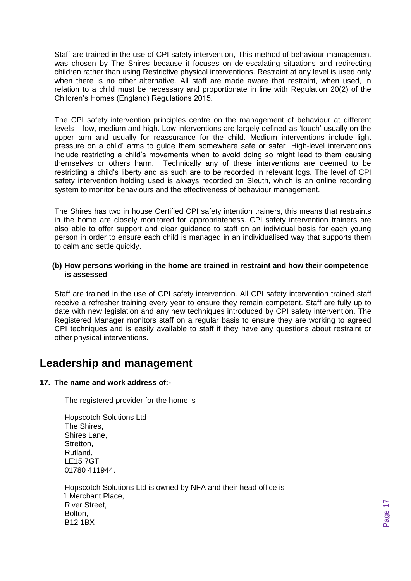Staff are trained in the use of CPI safety intervention, This method of behaviour management was chosen by The Shires because it focuses on de-escalating situations and redirecting children rather than using Restrictive physical interventions. Restraint at any level is used only when there is no other alternative. All staff are made aware that restraint, when used, in relation to a child must be necessary and proportionate in line with Regulation 20(2) of the Children's Homes (England) Regulations 2015.

The CPI safety intervention principles centre on the management of behaviour at different levels – low, medium and high. Low interventions are largely defined as 'touch' usually on the upper arm and usually for reassurance for the child. Medium interventions include light pressure on a child' arms to guide them somewhere safe or safer. High-level interventions include restricting a child's movements when to avoid doing so might lead to them causing themselves or others harm. Technically any of these interventions are deemed to be restricting a child's liberty and as such are to be recorded in relevant logs. The level of CPI safety intervention holding used is always recorded on Sleuth, which is an online recording system to monitor behaviours and the effectiveness of behaviour management.

The Shires has two in house Certified CPI safety intention trainers, this means that restraints in the home are closely monitored for appropriateness. CPI safety intervention trainers are also able to offer support and clear guidance to staff on an individual basis for each young person in order to ensure each child is managed in an individualised way that supports them to calm and settle quickly.

### **(b) How persons working in the home are trained in restraint and how their competence is assessed**

Staff are trained in the use of CPI safety intervention. All CPI safety intervention trained staff receive a refresher training every year to ensure they remain competent. Staff are fully up to date with new legislation and any new techniques introduced by CPI safety intervention. The Registered Manager monitors staff on a regular basis to ensure they are working to agreed CPI techniques and is easily available to staff if they have any questions about restraint or other physical interventions.

## **Leadership and management**

### **17. The name and work address of:-**

The registered provider for the home is-

| <b>Hopscotch Solutions Ltd</b>                         |
|--------------------------------------------------------|
| The Shires,                                            |
| Shires Lane,                                           |
| Stretton,                                              |
| Rutland,                                               |
| <b>LE157GT</b>                                         |
| 01780 411944.                                          |
|                                                        |
| Hopscotch Solutions Ltd is owned by NFA and their head |
| $\overline{AB}$                                        |

d office is- 1 Merchant Place, River Street, Bolton, B12 1BX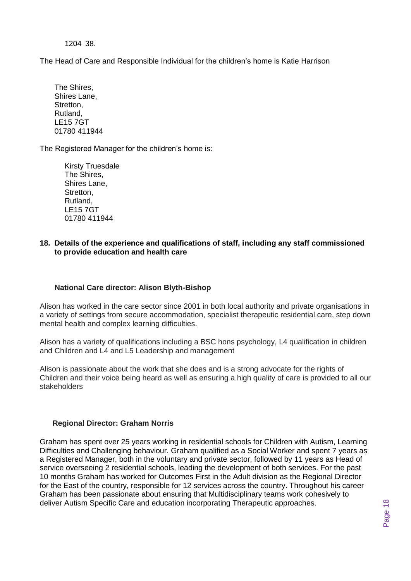1204 38.

The Head of Care and Responsible Individual for the children's home is Katie Harrison

The Shires, Shires Lane, Stretton, Rutland, LE15 7GT 01780 411944

The Registered Manager for the children's home is:

Kirsty Truesdale The Shires, Shires Lane, Stretton, Rutland, LE15 7GT 01780 411944

### **18. Details of the experience and qualifications of staff, including any staff commissioned to provide education and health care**

### **National Care director: Alison Blyth-Bishop**

Alison has worked in the care sector since 2001 in both local authority and private organisations in a variety of settings from secure accommodation, specialist therapeutic residential care, step down mental health and complex learning difficulties.

Alison has a variety of qualifications including a BSC hons psychology, L4 qualification in children and Children and L4 and L5 Leadership and management

Alison is passionate about the work that she does and is a strong advocate for the rights of Children and their voice being heard as well as ensuring a high quality of care is provided to all our stakeholders

### **Regional Director: Graham Norris**

Graham has spent over 25 years working in residential schools for Children with Autism, Learning Difficulties and Challenging behaviour. Graham qualified as a Social Worker and spent 7 years as a Registered Manager, both in the voluntary and private sector, followed by 11 years as Head of service overseeing 2 residential schools, leading the development of both services. For the past 10 months Graham has worked for Outcomes First in the Adult division as the Regional Director for the East of the country, responsible for 12 services across the country. Throughout his career Graham has been passionate about ensuring that Multidisciplinary teams work cohesively to deliver Autism Specific Care and education incorporating Therapeutic approaches.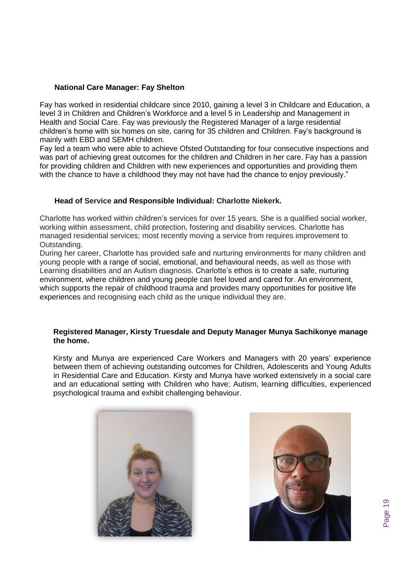### **National Care Manager: Fay Shelton**

Fay has worked in residential childcare since 2010, gaining a level 3 in Childcare and Education, a level 3 in Children and Children's Workforce and a level 5 in Leadership and Management in Health and Social Care. Fay was previously the Registered Manager of a large residential children's home with six homes on site, caring for 35 children and Children. Fay's background is mainly with EBD and SEMH children.

Fay led a team who were able to achieve Ofsted Outstanding for four consecutive inspections and was part of achieving great outcomes for the children and Children in her care. Fay has a passion for providing children and Children with new experiences and opportunities and providing them with the chance to have a childhood they may not have had the chance to enjoy previously."

### **Head of Service and Responsible Individual: Charlotte Niekerk.**

Charlotte has worked within children's services for over 15 years. She is a qualified social worker, working within assessment, child protection, fostering and disability services. Charlotte has managed residential services; most recently moving a service from requires improvement to Outstanding.

During her career, Charlotte has provided safe and nurturing environments for many children and young people with a range of social, emotional, and behavioural needs, as well as those with Learning disabilities and an Autism diagnosis. Charlotte's ethos is to create a safe, nurturing environment, where children and young people can feel loved and cared for. An environment, which supports the repair of childhood trauma and provides many opportunities for positive life experiences and recognising each child as the unique individual they are.

### **Registered Manager, Kirsty Truesdale and Deputy Manager Munya Sachikonye manage the home.**

Kirsty and Munya are experienced Care Workers and Managers with 20 years' experience between them of achieving outstanding outcomes for Children, Adolescents and Young Adults in Residential Care and Education. Kirsty and Munya have worked extensively in a social care and an educational setting with Children who have; Autism, learning difficulties, experienced psychological trauma and exhibit challenging behaviour.



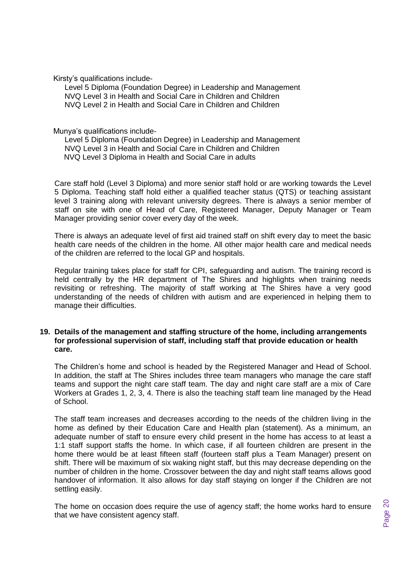Kirsty's qualifications include-

Level 5 Diploma (Foundation Degree) in Leadership and Management NVQ Level 3 in Health and Social Care in Children and Children NVQ Level 2 in Health and Social Care in Children and Children

Munya's qualifications include-

Level 5 Diploma (Foundation Degree) in Leadership and Management NVQ Level 3 in Health and Social Care in Children and Children NVQ Level 3 Diploma in Health and Social Care in adults

Care staff hold (Level 3 Diploma) and more senior staff hold or are working towards the Level 5 Diploma. Teaching staff hold either a qualified teacher status (QTS) or teaching assistant level 3 training along with relevant university degrees. There is always a senior member of staff on site with one of Head of Care, Registered Manager, Deputy Manager or Team Manager providing senior cover every day of the week.

There is always an adequate level of first aid trained staff on shift every day to meet the basic health care needs of the children in the home. All other major health care and medical needs of the children are referred to the local GP and hospitals.

Regular training takes place for staff for CPI, safeguarding and autism. The training record is held centrally by the HR department of The Shires and highlights when training needs revisiting or refreshing. The majority of staff working at The Shires have a very good understanding of the needs of children with autism and are experienced in helping them to manage their difficulties.

### **19. Details of the management and staffing structure of the home, including arrangements for professional supervision of staff, including staff that provide education or health care.**

The Children's home and school is headed by the Registered Manager and Head of School. In addition, the staff at The Shires includes three team managers who manage the care staff teams and support the night care staff team. The day and night care staff are a mix of Care Workers at Grades 1, 2, 3, 4. There is also the teaching staff team line managed by the Head of School.

The staff team increases and decreases according to the needs of the children living in the home as defined by their Education Care and Health plan (statement). As a minimum, an adequate number of staff to ensure every child present in the home has access to at least a 1:1 staff support staffs the home. In which case, if all fourteen children are present in the home there would be at least fifteen staff (fourteen staff plus a Team Manager) present on shift. There will be maximum of six waking night staff, but this may decrease depending on the number of children in the home. Crossover between the day and night staff teams allows good handover of information. It also allows for day staff staying on longer if the Children are not settling easily.

The home on occasion does require the use of agency staff; the home works hard to ensure that we have consistent agency staff.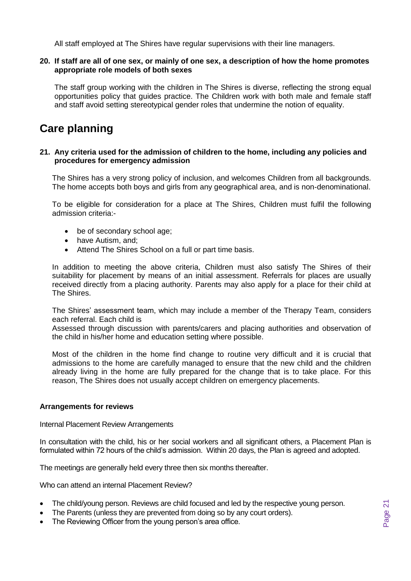All staff employed at The Shires have regular supervisions with their line managers.

### **20. If staff are all of one sex, or mainly of one sex, a description of how the home promotes appropriate role models of both sexes**

The staff group working with the children in The Shires is diverse, reflecting the strong equal opportunities policy that guides practice. The Children work with both male and female staff and staff avoid setting stereotypical gender roles that undermine the notion of equality.

# **Care planning**

### **21. Any criteria used for the admission of children to the home, including any policies and procedures for emergency admission**

The Shires has a very strong policy of inclusion, and welcomes Children from all backgrounds. The home accepts both boys and girls from any geographical area, and is non-denominational.

To be eligible for consideration for a place at The Shires, Children must fulfil the following admission criteria:-

- be of secondary school age;
- have Autism, and;
- Attend The Shires School on a full or part time basis.

In addition to meeting the above criteria, Children must also satisfy The Shires of their suitability for placement by means of an initial assessment. Referrals for places are usually received directly from a placing authority. Parents may also apply for a place for their child at The Shires.

The Shires' assessment team, which may include a member of the Therapy Team, considers each referral. Each child is

Assessed through discussion with parents/carers and placing authorities and observation of the child in his/her home and education setting where possible.

Most of the children in the home find change to routine very difficult and it is crucial that admissions to the home are carefully managed to ensure that the new child and the children already living in the home are fully prepared for the change that is to take place. For this reason, The Shires does not usually accept children on emergency placements.

### **Arrangements for reviews**

Internal Placement Review Arrangements

In consultation with the child, his or her social workers and all significant others, a Placement Plan is formulated within 72 hours of the child's admission. Within 20 days, the Plan is agreed and adopted.

The meetings are generally held every three then six months thereafter.

Who can attend an internal Placement Review?

- The child/young person. Reviews are child focused and led by the respective young person.
- The Parents (unless they are prevented from doing so by any court orders).
- The Reviewing Officer from the young person's area office.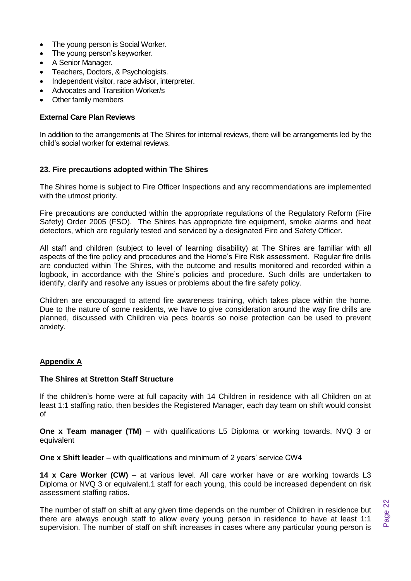- The young person is Social Worker.
- The young person's keyworker.
- A Senior Manager.
- Teachers, Doctors, & Psychologists.
- Independent visitor, race advisor, interpreter.
- Advocates and Transition Worker/s
- **Other family members**

### **External Care Plan Reviews**

In addition to the arrangements at The Shires for internal reviews, there will be arrangements led by the child's social worker for external reviews.

### **23. Fire precautions adopted within The Shires**

The Shires home is subject to Fire Officer Inspections and any recommendations are implemented with the utmost priority.

Fire precautions are conducted within the appropriate regulations of the Regulatory Reform (Fire Safety) Order 2005 (FSO). The Shires has appropriate fire equipment, smoke alarms and heat detectors, which are regularly tested and serviced by a designated Fire and Safety Officer.

All staff and children (subject to level of learning disability) at The Shires are familiar with all aspects of the fire policy and procedures and the Home's Fire Risk assessment. Regular fire drills are conducted within The Shires, with the outcome and results monitored and recorded within a logbook, in accordance with the Shire's policies and procedure. Such drills are undertaken to identify, clarify and resolve any issues or problems about the fire safety policy.

Children are encouraged to attend fire awareness training, which takes place within the home. Due to the nature of some residents, we have to give consideration around the way fire drills are planned, discussed with Children via pecs boards so noise protection can be used to prevent anxiety.

### **Appendix A**

### **The Shires at Stretton Staff Structure**

If the children's home were at full capacity with 14 Children in residence with all Children on at least 1:1 staffing ratio, then besides the Registered Manager, each day team on shift would consist of

**One x Team manager (TM)** – with qualifications L5 Diploma or working towards, NVQ 3 or equivalent

**One x Shift leader** – with qualifications and minimum of 2 years' service CW4

**14 x Care Worker (CW)** – at various level. All care worker have or are working towards L3 Diploma or NVQ 3 or equivalent.1 staff for each young, this could be increased dependent on risk assessment staffing ratios.

The number of staff on shift at any given time depends on the number of Children in residence but there are always enough staff to allow every young person in residence to have at least 1:1 supervision. The number of staff on shift increases in cases where any particular young person is